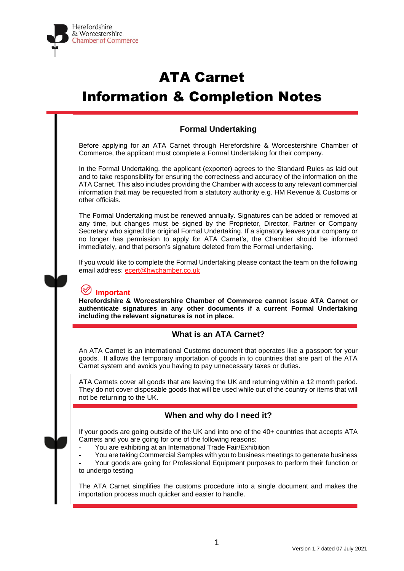

# ATA Carnet Information & Completion Notes

# **Formal Undertaking**

Before applying for an ATA Carnet through Herefordshire & Worcestershire Chamber of Commerce, the applicant must complete a Formal Undertaking for their company.

In the Formal Undertaking, the applicant (exporter) agrees to the Standard Rules as laid out and to take responsibility for ensuring the correctness and accuracy of the information on the ATA Carnet. This also includes providing the Chamber with access to any relevant commercial information that may be requested from a statutory authority e.g. HM Revenue & Customs or other officials.

The Formal Undertaking must be renewed annually. Signatures can be added or removed at any time, but changes must be signed by the Proprietor, Director, Partner or Company Secretary who signed the original Formal Undertaking. If a signatory leaves your company or no longer has permission to apply for ATA Carnet's, the Chamber should be informed immediately, and that person's signature deleted from the Formal undertaking.

If you would like to complete the Formal Undertaking please contact the team on the following email address: [ecert@hwchamber.co.uk](mailto:ecert@hwchamber.co.uk)

# **Important**

**Herefordshire & Worcestershire Chamber of Commerce cannot issue ATA Carnet or authenticate signatures in any other documents if a current Formal Undertaking including the relevant signatures is not in place.**

### **What is an ATA Carnet?**

An ATA Carnet is an international Customs document that operates like a passport for your goods. It allows the temporary importation of goods in to countries that are part of the ATA Carnet system and avoids you having to pay unnecessary taxes or duties.

ATA Carnets cover all goods that are leaving the UK and returning within a 12 month period. They do not cover disposable goods that will be used while out of the country or items that will not be returning to the UK.

### **When and why do I need it?**

If your goods are going outside of the UK and into one of the 40+ countries that accepts ATA Carnets and you are going for one of the following reasons:

- You are exhibiting at an International Trade Fair/Exhibition
- You are taking Commercial Samples with you to business meetings to generate business

Your goods are going for Professional Equipment purposes to perform their function or to undergo testing

The ATA Carnet simplifies the customs procedure into a single document and makes the importation process much quicker and easier to handle.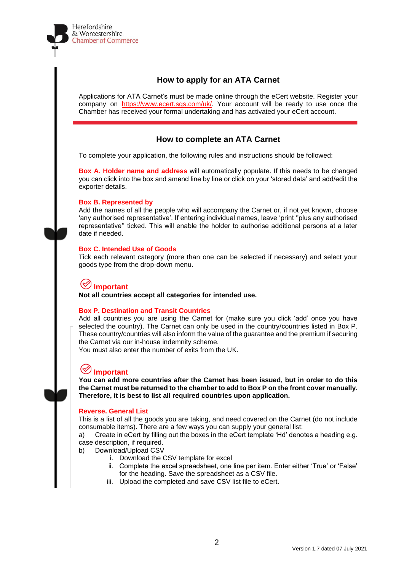

# **How to apply for an ATA Carnet**

Applications for ATA Carnet's must be made online through the eCert website. Register your company on [https://www.ecert.sgs.com/uk/.](https://www.ecert.sgs.com/uk/) Your account will be ready to use once the Chamber has received your formal undertaking and has activated your eCert account.

# **How to complete an ATA Carnet**

To complete your application, the following rules and instructions should be followed:

**Box A. Holder name and address** will automatically populate. If this needs to be changed you can click into the box and amend line by line or click on your 'stored data' and add/edit the exporter details.

#### **Box B. Represented by**

Add the names of all the people who will accompany the Carnet or, if not yet known, choose 'any authorised representative'. If entering individual names, leave 'print ''plus any authorised representative'' ticked. This will enable the holder to authorise additional persons at a later date if needed.

#### **Box C. Intended Use of Goods**

Tick each relevant category (more than one can be selected if necessary) and select your goods type from the drop-down menu.

# **Important**

**Not all countries accept all categories for intended use.**

#### **Box P. Destination and Transit Countries**

Add all countries you are using the Carnet for (make sure you click 'add' once you have selected the country). The Carnet can only be used in the country/countries listed in Box P. These country/countries will also inform the value of the guarantee and the premium if securing the Carnet via our in-house indemnity scheme.

You must also enter the number of exits from the UK.

# **Important**

**You can add more countries after the Carnet has been issued, but in order to do this the Carnet must be returned to the chamber to add to Box P on the front cover manually. Therefore, it is best to list all required countries upon application.**

#### **Reverse. General List**

This is a list of all the goods you are taking, and need covered on the Carnet (do not include consumable items). There are a few ways you can supply your general list:

a) Create in eCert by filling out the boxes in the eCert template 'Hd' denotes a heading e.g. case description, if required.

b) Download/Upload CSV

- i. Download the CSV template for excel
- ii. Complete the excel spreadsheet, one line per item. Enter either 'True' or 'False' for the heading. Save the spreadsheet as a CSV file.
- iii. Upload the completed and save CSV list file to eCert.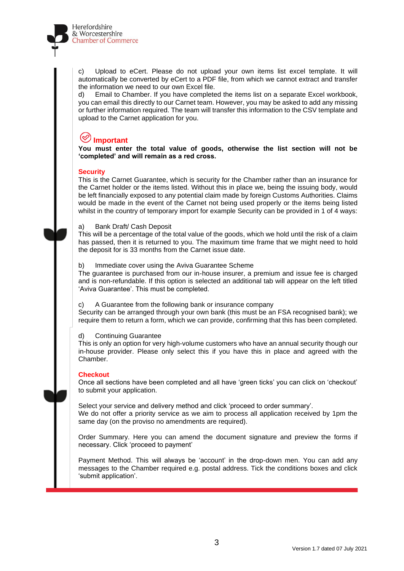

c) Upload to eCert. Please do not upload your own items list excel template. It will automatically be converted by eCert to a PDF file, from which we cannot extract and transfer the information we need to our own Excel file.

d) Email to Chamber. If you have completed the items list on a separate Excel workbook, you can email this directly to our Carnet team. However, you may be asked to add any missing or further information required. The team will transfer this information to the CSV template and upload to the Carnet application for you.

# **Important**

**You must enter the total value of goods, otherwise the list section will not be 'completed' and will remain as a red cross.**

#### **Security**

This is the Carnet Guarantee, which is security for the Chamber rather than an insurance for the Carnet holder or the items listed. Without this in place we, being the issuing body, would be left financially exposed to any potential claim made by foreign Customs Authorities. Claims would be made in the event of the Carnet not being used properly or the items being listed whilst in the country of temporary import for example Security can be provided in 1 of 4 ways:

#### a) Bank Draft/ Cash Deposit

This will be a percentage of the total value of the goods, which we hold until the risk of a claim has passed, then it is returned to you. The maximum time frame that we might need to hold the deposit for is 33 months from the Carnet issue date.

#### b) Immediate cover using the Aviva Guarantee Scheme

The guarantee is purchased from our in-house insurer, a premium and issue fee is charged and is non-refundable. If this option is selected an additional tab will appear on the left titled 'Aviva Guarantee'. This must be completed.

#### c) A Guarantee from the following bank or insurance company

Security can be arranged through your own bank (this must be an FSA recognised bank); we require them to return a form, which we can provide, confirming that this has been completed.

#### d) Continuing Guarantee

This is only an option for very high-volume customers who have an annual security though our in-house provider. Please only select this if you have this in place and agreed with the Chamber.

#### **Checkout**

Once all sections have been completed and all have 'green ticks' you can click on 'checkout' to submit your application.

Select your service and delivery method and click 'proceed to order summary'. We do not offer a priority service as we aim to process all application received by 1pm the same day (on the proviso no amendments are required).

Order Summary. Here you can amend the document signature and preview the forms if necessary. Click 'proceed to payment'

Payment Method. This will always be 'account' in the drop-down men. You can add any messages to the Chamber required e.g. postal address. Tick the conditions boxes and click 'submit application'.